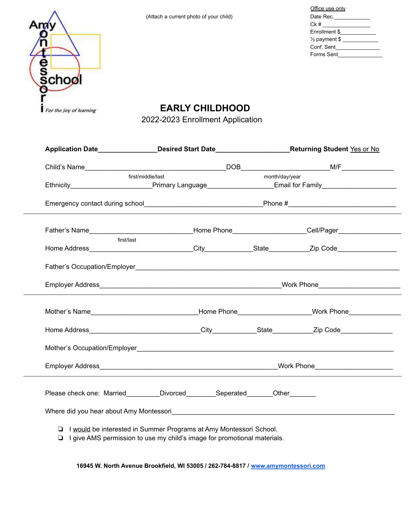| Office use only          |
|--------------------------|
| Date Rec.___________     |
|                          |
| Enrollment \$            |
| $\frac{1}{2}$ payment \$ |
| Conf. Sent               |
| Forms Sent               |
|                          |



**EARLY CHILDHOOD**

2022-2023 Enrollment Application

| first/middle/last | month/day/year |                                                                                                                                                                                                    |  |
|-------------------|----------------|----------------------------------------------------------------------------------------------------------------------------------------------------------------------------------------------------|--|
|                   |                |                                                                                                                                                                                                    |  |
|                   |                |                                                                                                                                                                                                    |  |
|                   |                | Ethnicity <b>Ethnicity Ethnicity Ethnicity Ethnicity Ethnicity Ethnicity Ethnicity Ethnicity Ethnicity Ethnicity Ethnicity Ethnicity Ethnicity Ethnicity Ethnicity Ethnicity Ethnicity Ethnici</b> |  |
|                   |                |                                                                                                                                                                                                    |  |
|                   |                |                                                                                                                                                                                                    |  |
|                   |                |                                                                                                                                                                                                    |  |
|                   |                |                                                                                                                                                                                                    |  |
|                   |                |                                                                                                                                                                                                    |  |
|                   |                |                                                                                                                                                                                                    |  |
|                   |                |                                                                                                                                                                                                    |  |
|                   |                |                                                                                                                                                                                                    |  |
|                   |                |                                                                                                                                                                                                    |  |
|                   |                |                                                                                                                                                                                                    |  |
|                   |                |                                                                                                                                                                                                    |  |
|                   |                | Father's Name___________________________________Home Phone_____________________Cell/Pager_________________<br>Please check one: Married_________Divorced________Seperated_______Other________      |  |

**16945 W. North Avenue Brookfield, WI 53005 / 262-784-8817 / [www.amymontessori.com](http://www.amymontessori.com)**